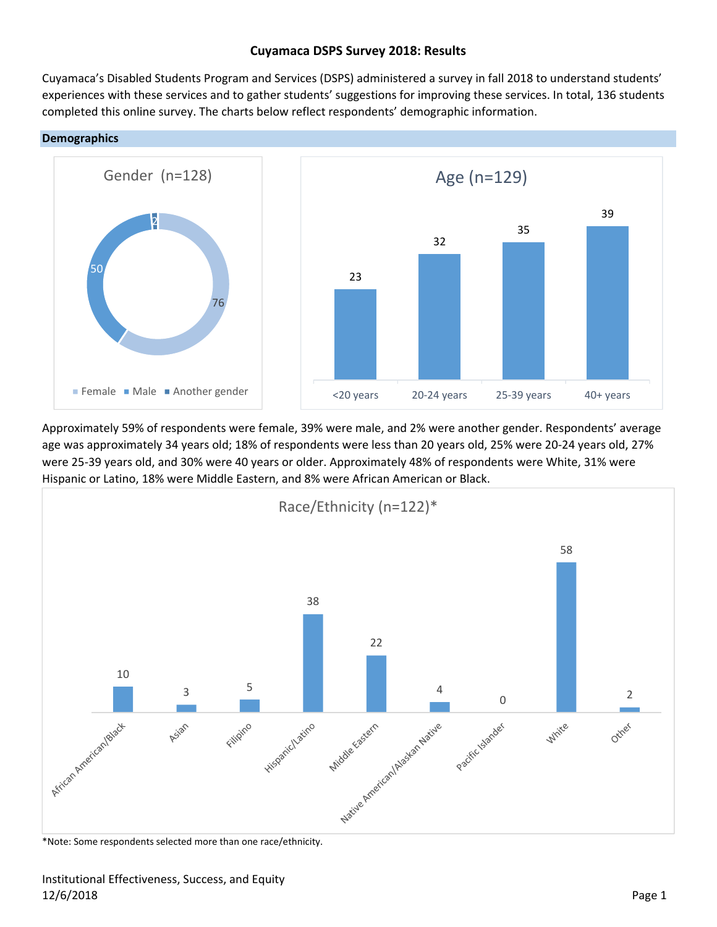# **Cuyamaca DSPS Survey 2018: Results**

Cuyamaca's Disabled Students Program and Services (DSPS) administered a survey in fall 2018 to understand students' experiences with these services and to gather students' suggestions for improving these services. In total, 136 students completed this online survey. The charts below reflect respondents' demographic information.





Approximately 59% of respondents were female, 39% were male, and 2% were another gender. Respondents' average age was approximately 34 years old; 18% of respondents were less than 20 years old, 25% were 20‐24 years old, 27% were 25‐39 years old, and 30% were 40 years or older. Approximately 48% of respondents were White, 31% were Hispanic or Latino, 18% were Middle Eastern, and 8% were African American or Black.

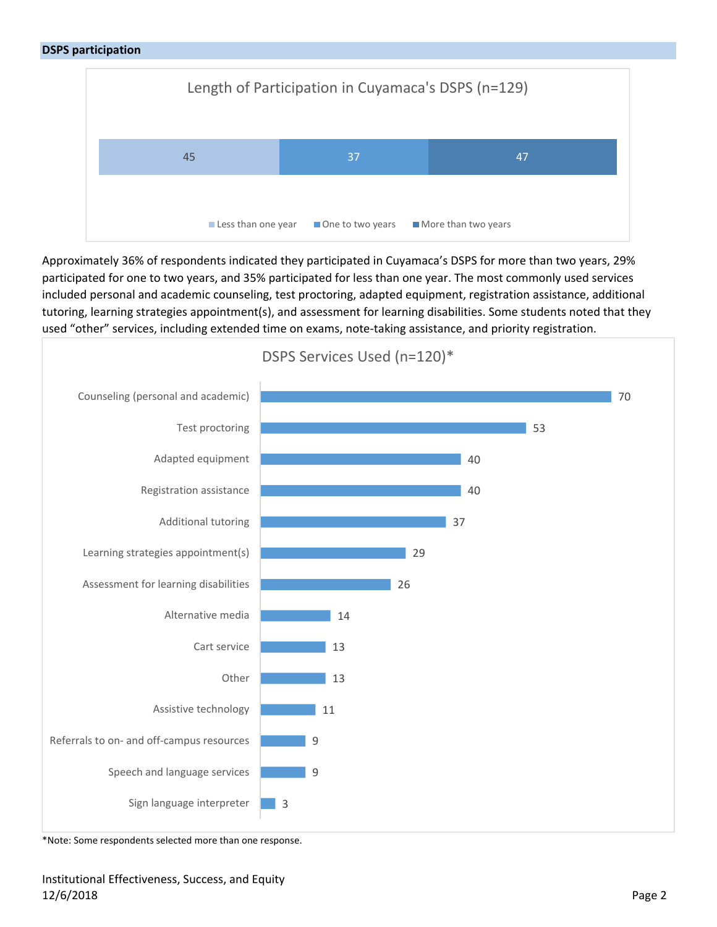

Approximately 36% of respondents indicated they participated in Cuyamaca's DSPS for more than two years, 29% participated for one to two years, and 35% participated for less than one year. The most commonly used services included personal and academic counseling, test proctoring, adapted equipment, registration assistance, additional tutoring, learning strategies appointment(s), and assessment for learning disabilities. Some students noted that they used "other" services, including extended time on exams, note-taking assistance, and priority registration.



\*Note: Some respondents selected more than one response.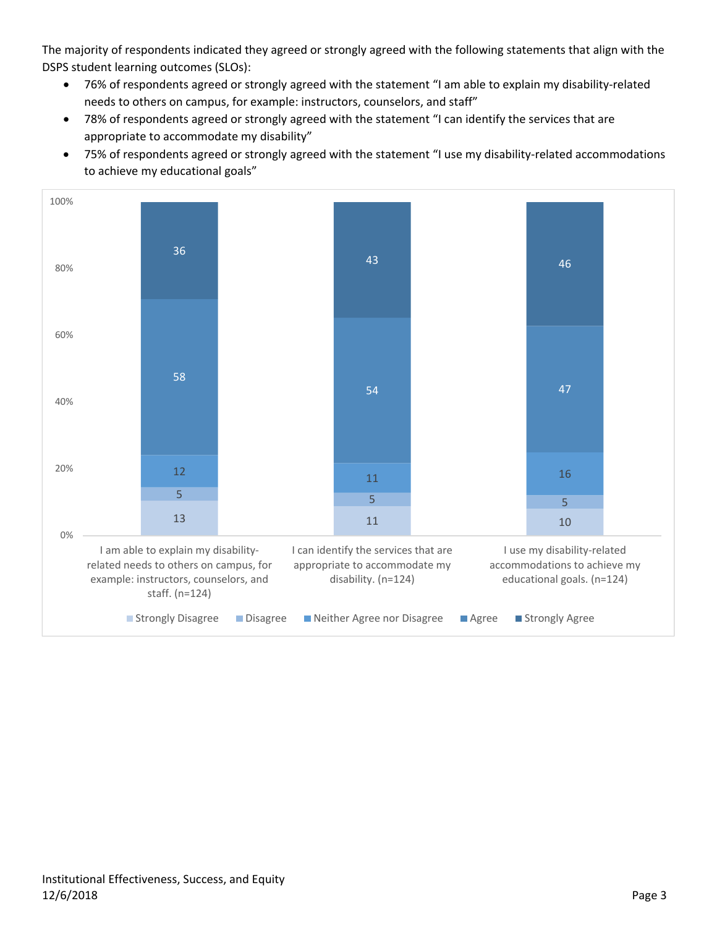The majority of respondents indicated they agreed or strongly agreed with the following statements that align with the DSPS student learning outcomes (SLOs):

- 76% of respondents agreed or strongly agreed with the statement "I am able to explain my disability‐related needs to others on campus, for example: instructors, counselors, and staff"
- 78% of respondents agreed or strongly agreed with the statement "I can identify the services that are appropriate to accommodate my disability"
- 75% of respondents agreed or strongly agreed with the statement "I use my disability-related accommodations to achieve my educational goals"

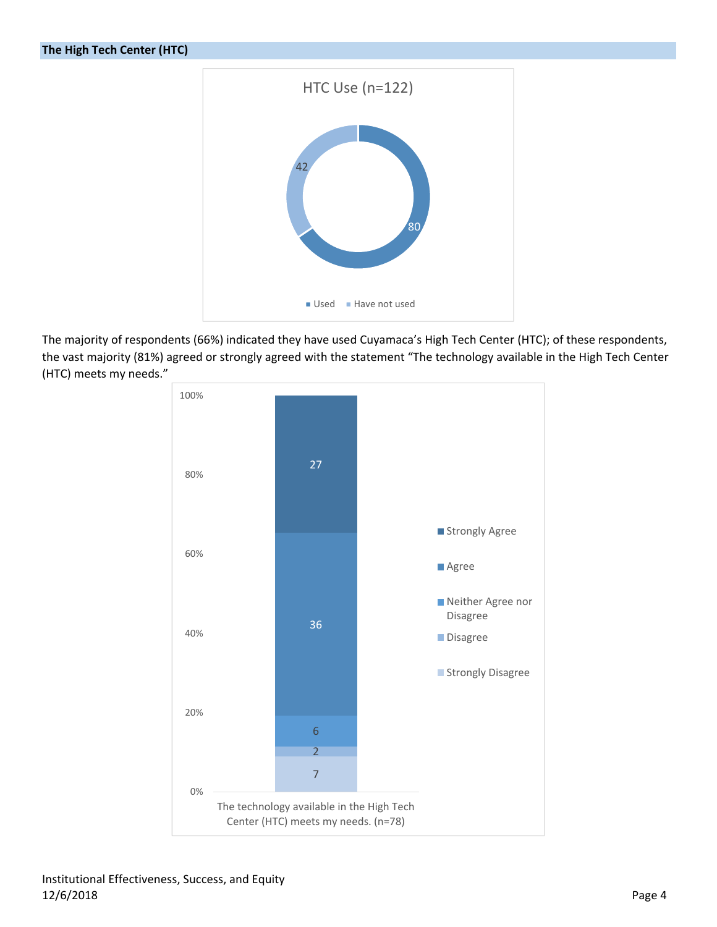

The majority of respondents (66%) indicated they have used Cuyamaca's High Tech Center (HTC); of these respondents, the vast majority (81%) agreed or strongly agreed with the statement "The technology available in the High Tech Center (HTC) meets my needs."

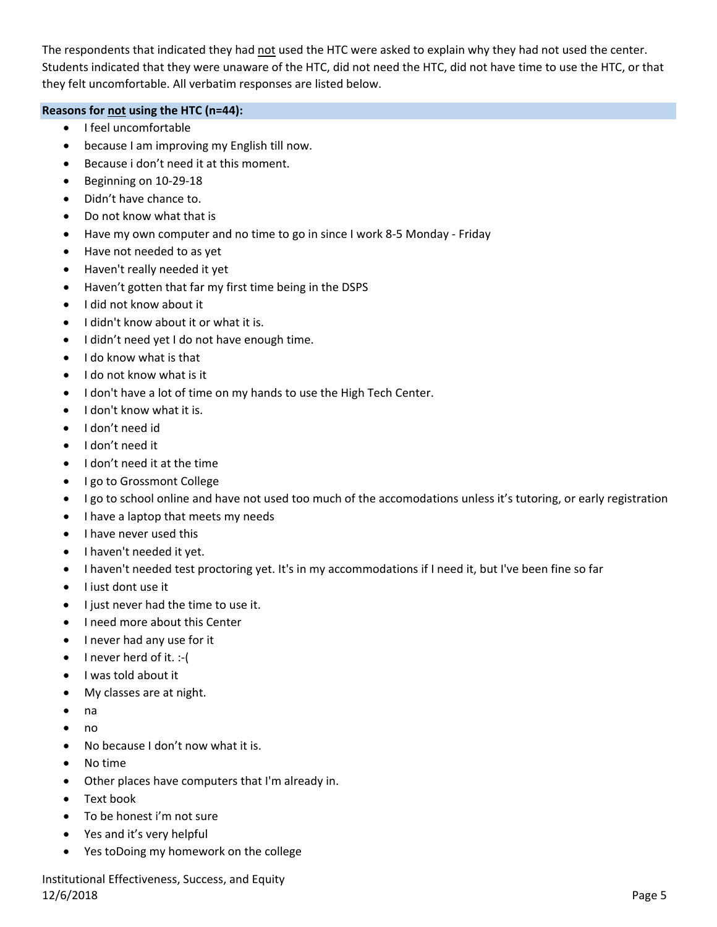The respondents that indicated they had not used the HTC were asked to explain why they had not used the center. Students indicated that they were unaware of the HTC, did not need the HTC, did not have time to use the HTC, or that they felt uncomfortable. All verbatim responses are listed below.

### **Reasons for not using the HTC (n=44):**

- I feel uncomfortable
- because I am improving my English till now.
- Because i don't need it at this moment.
- Beginning on 10-29-18
- Didn't have chance to.
- Do not know what that is
- Have my own computer and no time to go in since I work 8‐5 Monday ‐ Friday
- Have not needed to as yet
- Haven't really needed it yet
- Haven't gotten that far my first time being in the DSPS
- I did not know about it
- I didn't know about it or what it is.
- I didn't need yet I do not have enough time.
- I do know what is that
- $\bullet$  I do not know what is it
- I don't have a lot of time on my hands to use the High Tech Center.
- I don't know what it is.
- I don't need id
- I don't need it
- I don't need it at the time
- I go to Grossmont College
- I go to school online and have not used too much of the accomodations unless it's tutoring, or early registration
- I have a laptop that meets my needs
- I have never used this
- I haven't needed it yet.
- I haven't needed test proctoring yet. It's in my accommodations if I need it, but I've been fine so far
- I iust dont use it
- I just never had the time to use it.
- I need more about this Center
- I never had any use for it
- $\bullet$  I never herd of it. :-(
- I was told about it
- My classes are at night.
- na
- no
- No because I don't now what it is.
- No time
- Other places have computers that I'm already in.
- Text book
- To be honest i'm not sure
- Yes and it's very helpful
- Yes toDoing my homework on the college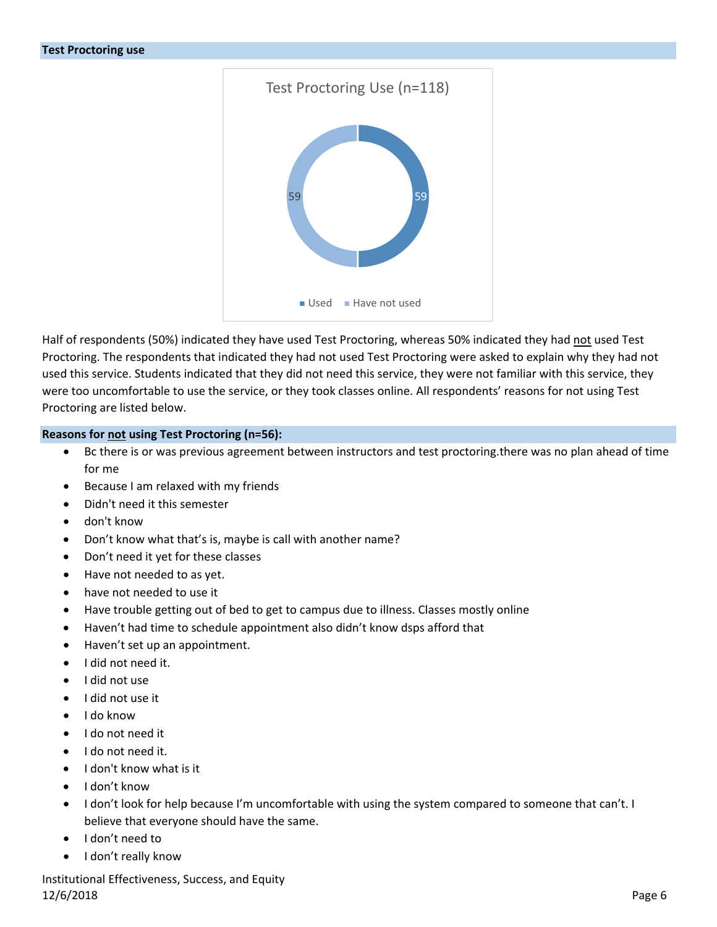

Half of respondents (50%) indicated they have used Test Proctoring, whereas 50% indicated they had not used Test Proctoring. The respondents that indicated they had not used Test Proctoring were asked to explain why they had not used this service. Students indicated that they did not need this service, they were not familiar with this service, they were too uncomfortable to use the service, or they took classes online. All respondents' reasons for not using Test Proctoring are listed below.

#### **Reasons for not using Test Proctoring (n=56):**

- Bc there is or was previous agreement between instructors and test proctoring.there was no plan ahead of time for me
- Because I am relaxed with my friends
- Didn't need it this semester
- don't know
- Don't know what that's is, maybe is call with another name?
- Don't need it yet for these classes
- Have not needed to as yet.
- have not needed to use it
- Have trouble getting out of bed to get to campus due to illness. Classes mostly online
- Haven't had time to schedule appointment also didn't know dsps afford that
- Haven't set up an appointment.
- I did not need it.
- I did not use
- I did not use it
- I do know
- I do not need it
- I do not need it.
- I don't know what is it
- I don't know
- I don't look for help because I'm uncomfortable with using the system compared to someone that can't. I believe that everyone should have the same.
- I don't need to
- I don't really know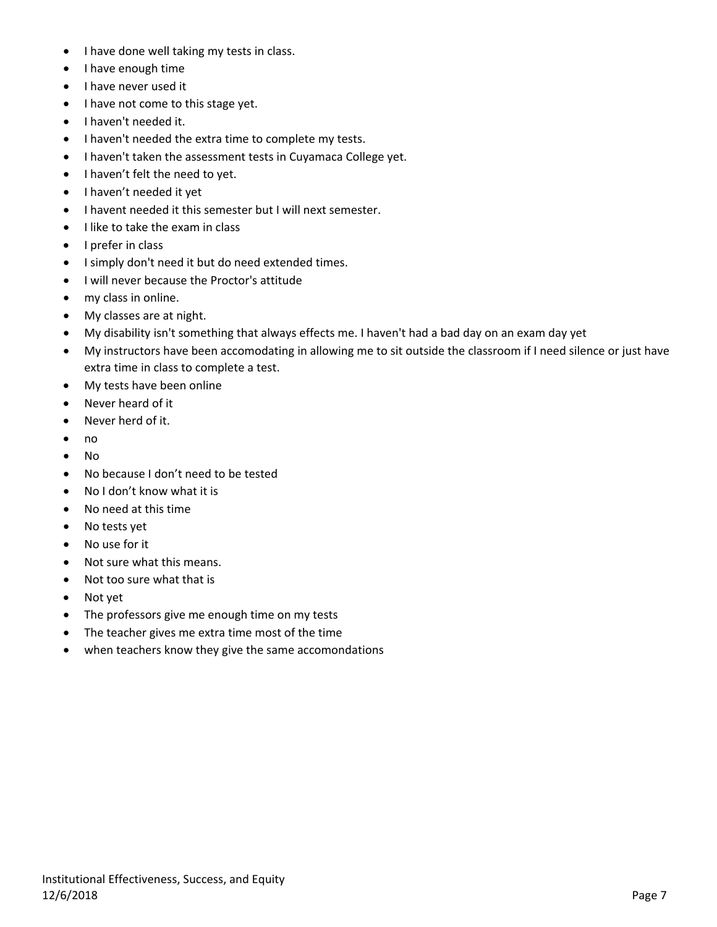- I have done well taking my tests in class.
- I have enough time
- I have never used it
- I have not come to this stage yet.
- I haven't needed it.
- I haven't needed the extra time to complete my tests.
- I haven't taken the assessment tests in Cuyamaca College yet.
- I haven't felt the need to yet.
- I haven't needed it yet
- I havent needed it this semester but I will next semester.
- $\bullet$  I like to take the exam in class
- I prefer in class
- I simply don't need it but do need extended times.
- I will never because the Proctor's attitude
- my class in online.
- My classes are at night.
- My disability isn't something that always effects me. I haven't had a bad day on an exam day yet
- My instructors have been accomodating in allowing me to sit outside the classroom if I need silence or just have extra time in class to complete a test.
- My tests have been online
- Never heard of it
- Never herd of it.
- no
- No
- No because I don't need to be tested
- No I don't know what it is
- No need at this time
- No tests yet
- No use for it
- Not sure what this means.
- Not too sure what that is
- Not yet
- The professors give me enough time on my tests
- The teacher gives me extra time most of the time
- when teachers know they give the same accomondations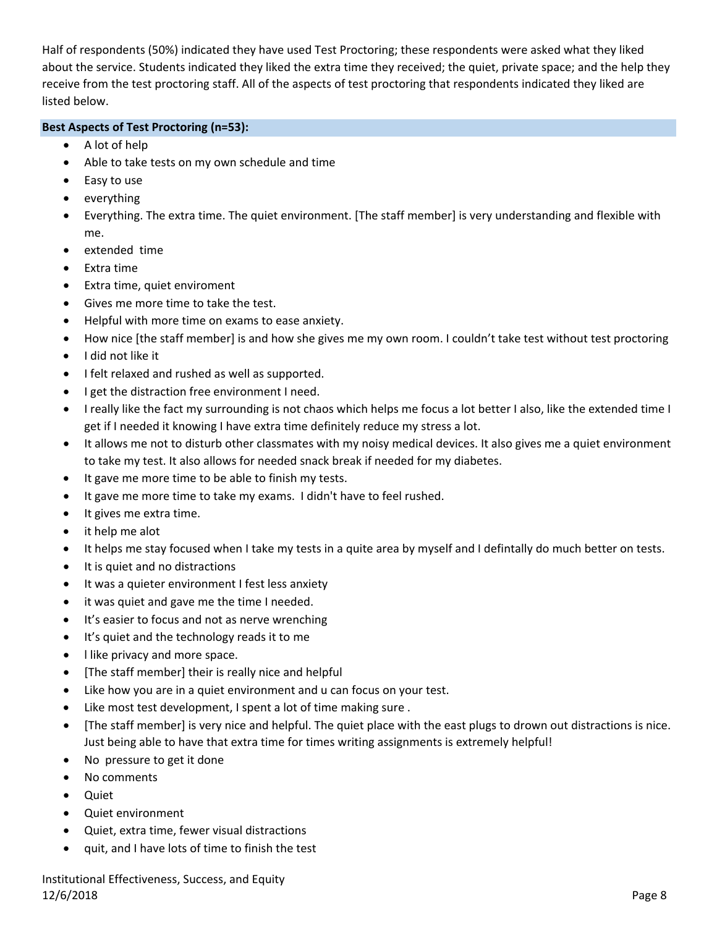Half of respondents (50%) indicated they have used Test Proctoring; these respondents were asked what they liked about the service. Students indicated they liked the extra time they received; the quiet, private space; and the help they receive from the test proctoring staff. All of the aspects of test proctoring that respondents indicated they liked are listed below.

## **Best Aspects of Test Proctoring (n=53):**

- A lot of help
- Able to take tests on my own schedule and time
- Easy to use
- everything
- Everything. The extra time. The quiet environment. [The staff member] is very understanding and flexible with me.
- extended time
- Extra time
- Extra time, quiet enviroment
- Gives me more time to take the test.
- Helpful with more time on exams to ease anxiety.
- How nice [the staff member] is and how she gives me my own room. I couldn't take test without test proctoring
- I did not like it
- I felt relaxed and rushed as well as supported.
- I get the distraction free environment I need.
- I really like the fact my surrounding is not chaos which helps me focus a lot better I also, like the extended time I get if I needed it knowing I have extra time definitely reduce my stress a lot.
- It allows me not to disturb other classmates with my noisy medical devices. It also gives me a quiet environment to take my test. It also allows for needed snack break if needed for my diabetes.
- It gave me more time to be able to finish my tests.
- It gave me more time to take my exams. I didn't have to feel rushed.
- $\bullet$  It gives me extra time.
- it help me alot
- It helps me stay focused when I take my tests in a quite area by myself and I defintally do much better on tests.
- It is quiet and no distractions
- It was a quieter environment I fest less anxiety
- it was quiet and gave me the time I needed.
- It's easier to focus and not as nerve wrenching
- It's quiet and the technology reads it to me
- l like privacy and more space.
- [The staff member] their is really nice and helpful
- Like how you are in a quiet environment and u can focus on your test.
- Like most test development, I spent a lot of time making sure .
- [The staff member] is very nice and helpful. The quiet place with the east plugs to drown out distractions is nice. Just being able to have that extra time for times writing assignments is extremely helpful!
- No pressure to get it done
- No comments
- Quiet
- Quiet environment
- Quiet, extra time, fewer visual distractions
- quit, and I have lots of time to finish the test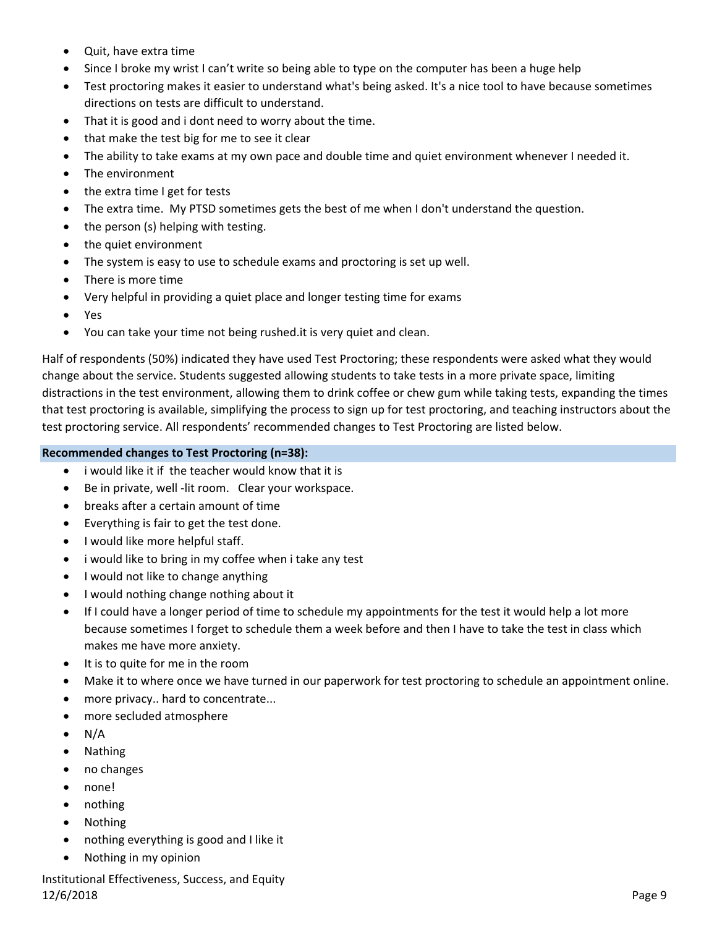- Quit, have extra time
- Since I broke my wrist I can't write so being able to type on the computer has been a huge help
- Test proctoring makes it easier to understand what's being asked. It's a nice tool to have because sometimes directions on tests are difficult to understand.
- That it is good and i dont need to worry about the time.
- that make the test big for me to see it clear
- The ability to take exams at my own pace and double time and quiet environment whenever I needed it.
- The environment
- the extra time I get for tests
- The extra time. My PTSD sometimes gets the best of me when I don't understand the question.
- $\bullet$  the person (s) helping with testing.
- the quiet environment
- The system is easy to use to schedule exams and proctoring is set up well.
- There is more time
- Very helpful in providing a quiet place and longer testing time for exams
- Yes
- You can take your time not being rushed.it is very quiet and clean.

Half of respondents (50%) indicated they have used Test Proctoring; these respondents were asked what they would change about the service. Students suggested allowing students to take tests in a more private space, limiting distractions in the test environment, allowing them to drink coffee or chew gum while taking tests, expanding the times that test proctoring is available, simplifying the process to sign up for test proctoring, and teaching instructors about the test proctoring service. All respondents' recommended changes to Test Proctoring are listed below.

#### **Recommended changes to Test Proctoring (n=38):**

- i would like it if the teacher would know that it is
- Be in private, well -lit room. Clear your workspace.
- breaks after a certain amount of time
- Everything is fair to get the test done.
- I would like more helpful staff.
- i would like to bring in my coffee when i take any test
- I would not like to change anything
- I would nothing change nothing about it
- If I could have a longer period of time to schedule my appointments for the test it would help a lot more because sometimes I forget to schedule them a week before and then I have to take the test in class which makes me have more anxiety.
- It is to quite for me in the room
- Make it to where once we have turned in our paperwork for test proctoring to schedule an appointment online.
- more privacy.. hard to concentrate...
- more secluded atmosphere
- $\bullet$  N/A
- Nathing
- no changes
- none!
- nothing
- Nothing
- nothing everything is good and I like it
- Nothing in my opinion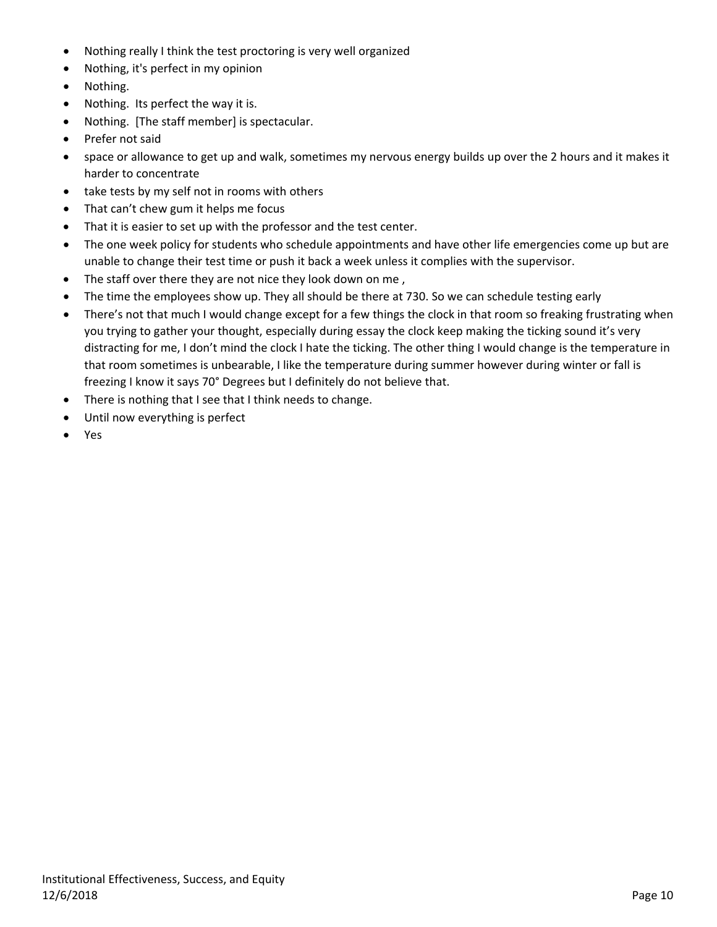- Nothing really I think the test proctoring is very well organized
- Nothing, it's perfect in my opinion
- Nothing.
- Nothing. Its perfect the way it is.
- Nothing. [The staff member] is spectacular.
- Prefer not said
- space or allowance to get up and walk, sometimes my nervous energy builds up over the 2 hours and it makes it harder to concentrate
- take tests by my self not in rooms with others
- That can't chew gum it helps me focus
- That it is easier to set up with the professor and the test center.
- The one week policy for students who schedule appointments and have other life emergencies come up but are unable to change their test time or push it back a week unless it complies with the supervisor.
- The staff over there they are not nice they look down on me,
- The time the employees show up. They all should be there at 730. So we can schedule testing early
- There's not that much I would change except for a few things the clock in that room so freaking frustrating when you trying to gather your thought, especially during essay the clock keep making the ticking sound it's very distracting for me, I don't mind the clock I hate the ticking. The other thing I would change is the temperature in that room sometimes is unbearable, I like the temperature during summer however during winter or fall is freezing I know it says 70° Degrees but I definitely do not believe that.
- There is nothing that I see that I think needs to change.
- Until now everything is perfect
- Yes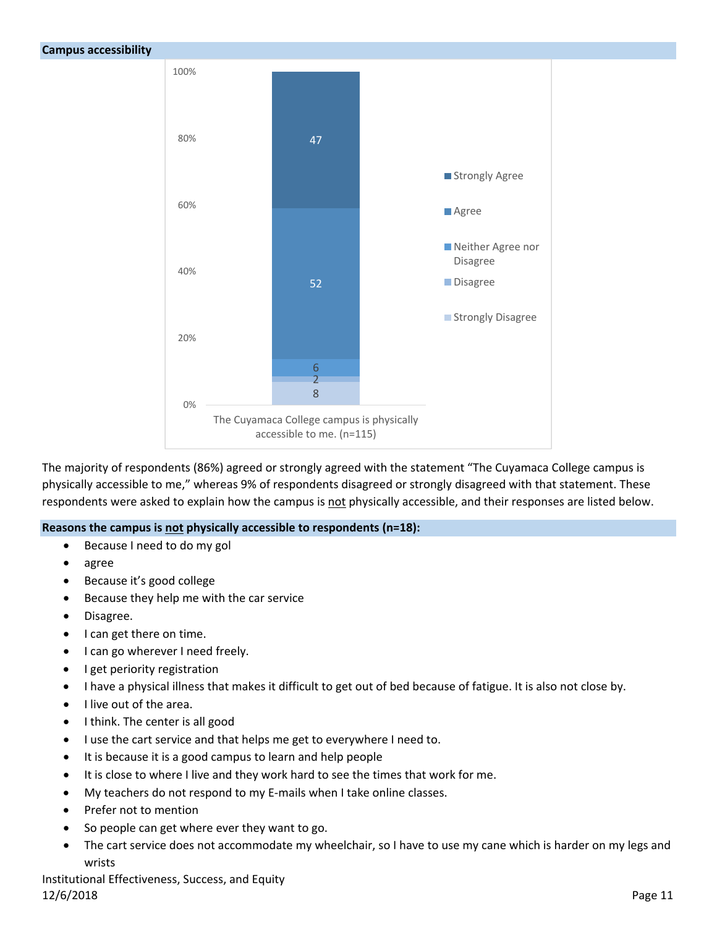

The majority of respondents (86%) agreed or strongly agreed with the statement "The Cuyamaca College campus is physically accessible to me," whereas 9% of respondents disagreed or strongly disagreed with that statement. These respondents were asked to explain how the campus is not physically accessible, and their responses are listed below.

### **Reasons the campus is not physically accessible to respondents (n=18):**

- Because I need to do my gol
- agree
- Because it's good college
- Because they help me with the car service
- Disagree.
- I can get there on time.
- I can go wherever I need freely.
- I get periority registration
- I have a physical illness that makes it difficult to get out of bed because of fatigue. It is also not close by.
- I live out of the area.
- I think. The center is all good
- I use the cart service and that helps me get to everywhere I need to.
- It is because it is a good campus to learn and help people
- It is close to where I live and they work hard to see the times that work for me.
- My teachers do not respond to my E‐mails when I take online classes.
- Prefer not to mention
- So people can get where ever they want to go.
- The cart service does not accommodate my wheelchair, so I have to use my cane which is harder on my legs and wrists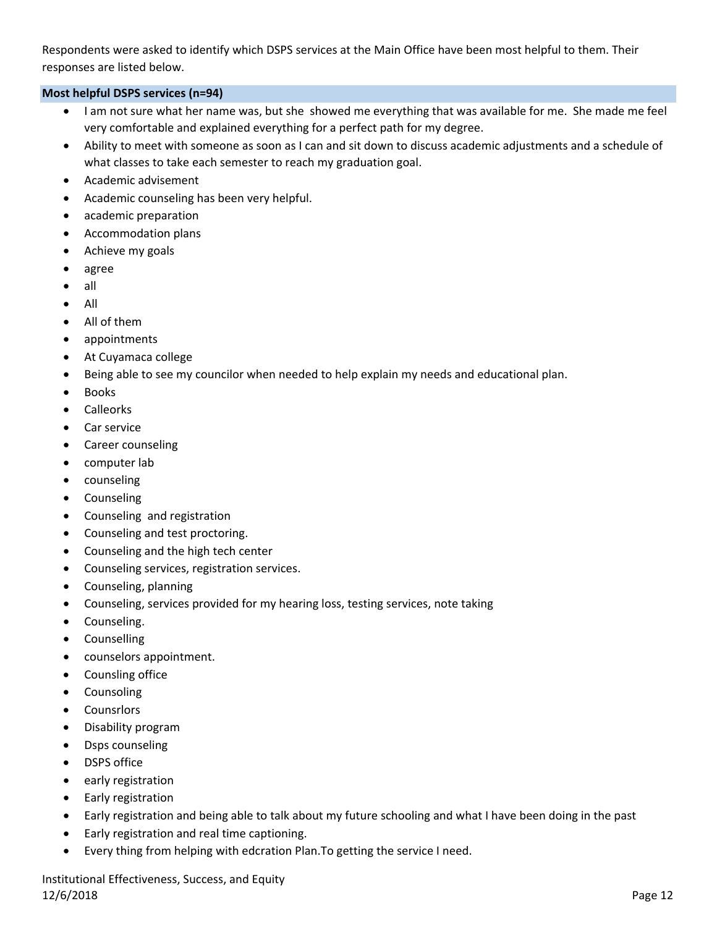Respondents were asked to identify which DSPS services at the Main Office have been most helpful to them. Their responses are listed below.

## **Most helpful DSPS services (n=94)**

- I am not sure what her name was, but she showed me everything that was available for me. She made me feel very comfortable and explained everything for a perfect path for my degree.
- Ability to meet with someone as soon as I can and sit down to discuss academic adjustments and a schedule of what classes to take each semester to reach my graduation goal.
- Academic advisement
- Academic counseling has been very helpful.
- academic preparation
- Accommodation plans
- Achieve my goals
- agree
- $\bullet$  all
- $\bullet$  All
- All of them
- appointments
- At Cuyamaca college
- Being able to see my councilor when needed to help explain my needs and educational plan.
- Books
- Calleorks
- Car service
- Career counseling
- computer lab
- counseling
- Counseling
- Counseling and registration
- Counseling and test proctoring.
- Counseling and the high tech center
- Counseling services, registration services.
- Counseling, planning
- Counseling, services provided for my hearing loss, testing services, note taking
- Counseling.
- Counselling
- counselors appointment.
- Counsling office
- Counsoling
- Counsrlors
- Disability program
- Dsps counseling
- DSPS office
- early registration
- Early registration
- Early registration and being able to talk about my future schooling and what I have been doing in the past
- Early registration and real time captioning.
- Every thing from helping with edcration Plan.To getting the service I need.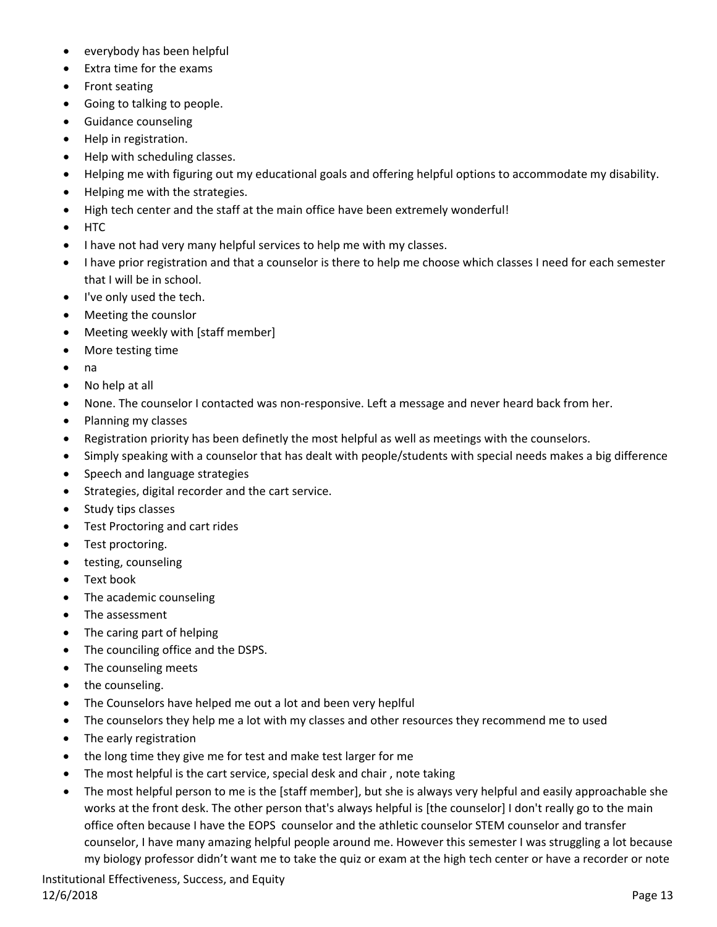- everybody has been helpful
- Extra time for the exams
- Front seating
- Going to talking to people.
- **•** Guidance counseling
- Help in registration.
- Help with scheduling classes.
- Helping me with figuring out my educational goals and offering helpful options to accommodate my disability.
- Helping me with the strategies.
- High tech center and the staff at the main office have been extremely wonderful!
- HTC
- I have not had very many helpful services to help me with my classes.
- I have prior registration and that a counselor is there to help me choose which classes I need for each semester that I will be in school.
- I've only used the tech.
- Meeting the counslor
- Meeting weekly with [staff member]
- More testing time
- na
- No help at all
- None. The counselor I contacted was non-responsive. Left a message and never heard back from her.
- Planning my classes
- Registration priority has been definetly the most helpful as well as meetings with the counselors.
- Simply speaking with a counselor that has dealt with people/students with special needs makes a big difference
- Speech and language strategies
- Strategies, digital recorder and the cart service.
- Study tips classes
- Test Proctoring and cart rides
- Test proctoring.
- testing, counseling
- Text book
- The academic counseling
- The assessment
- The caring part of helping
- The counciling office and the DSPS.
- The counseling meets
- the counseling.
- The Counselors have helped me out a lot and been very heplful
- The counselors they help me a lot with my classes and other resources they recommend me to used
- The early registration
- the long time they give me for test and make test larger for me
- The most helpful is the cart service, special desk and chair , note taking
- The most helpful person to me is the [staff member], but she is always very helpful and easily approachable she works at the front desk. The other person that's always helpful is [the counselor] I don't really go to the main office often because I have the EOPS counselor and the athletic counselor STEM counselor and transfer counselor, I have many amazing helpful people around me. However this semester I was struggling a lot because my biology professor didn't want me to take the quiz or exam at the high tech center or have a recorder or note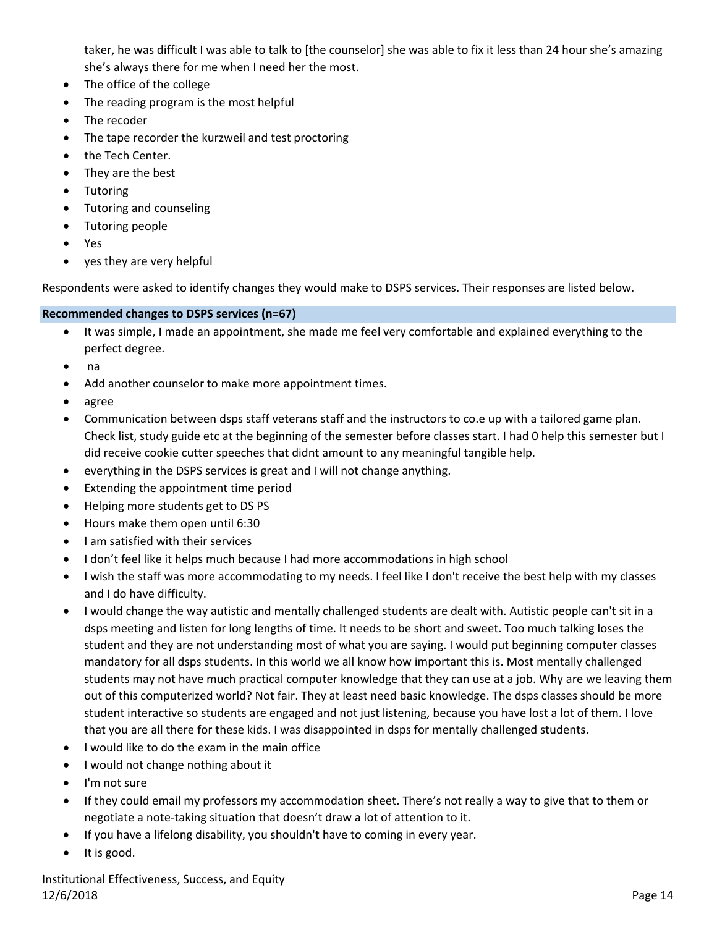taker, he was difficult I was able to talk to [the counselor] she was able to fix it less than 24 hour she's amazing she's always there for me when I need her the most.

- The office of the college
- The reading program is the most helpful
- The recoder
- The tape recorder the kurzweil and test proctoring
- the Tech Center.
- They are the best
- Tutoring
- Tutoring and counseling
- Tutoring people
- Yes
- yes they are very helpful

Respondents were asked to identify changes they would make to DSPS services. Their responses are listed below.

## **Recommended changes to DSPS services (n=67)**

- It was simple, I made an appointment, she made me feel very comfortable and explained everything to the perfect degree.
- na
- Add another counselor to make more appointment times.
- agree
- Communication between dsps staff veterans staff and the instructors to co.e up with a tailored game plan. Check list, study guide etc at the beginning of the semester before classes start. I had 0 help this semester but I did receive cookie cutter speeches that didnt amount to any meaningful tangible help.
- everything in the DSPS services is great and I will not change anything.
- Extending the appointment time period
- Helping more students get to DS PS
- Hours make them open until 6:30
- I am satisfied with their services
- I don't feel like it helps much because I had more accommodations in high school
- I wish the staff was more accommodating to my needs. I feel like I don't receive the best help with my classes and I do have difficulty.
- I would change the way autistic and mentally challenged students are dealt with. Autistic people can't sit in a dsps meeting and listen for long lengths of time. It needs to be short and sweet. Too much talking loses the student and they are not understanding most of what you are saying. I would put beginning computer classes mandatory for all dsps students. In this world we all know how important this is. Most mentally challenged students may not have much practical computer knowledge that they can use at a job. Why are we leaving them out of this computerized world? Not fair. They at least need basic knowledge. The dsps classes should be more student interactive so students are engaged and not just listening, because you have lost a lot of them. I love that you are all there for these kids. I was disappointed in dsps for mentally challenged students.
- I would like to do the exam in the main office
- I would not change nothing about it
- I'm not sure
- If they could email my professors my accommodation sheet. There's not really a way to give that to them or negotiate a note-taking situation that doesn't draw a lot of attention to it.
- If you have a lifelong disability, you shouldn't have to coming in every year.
- It is good.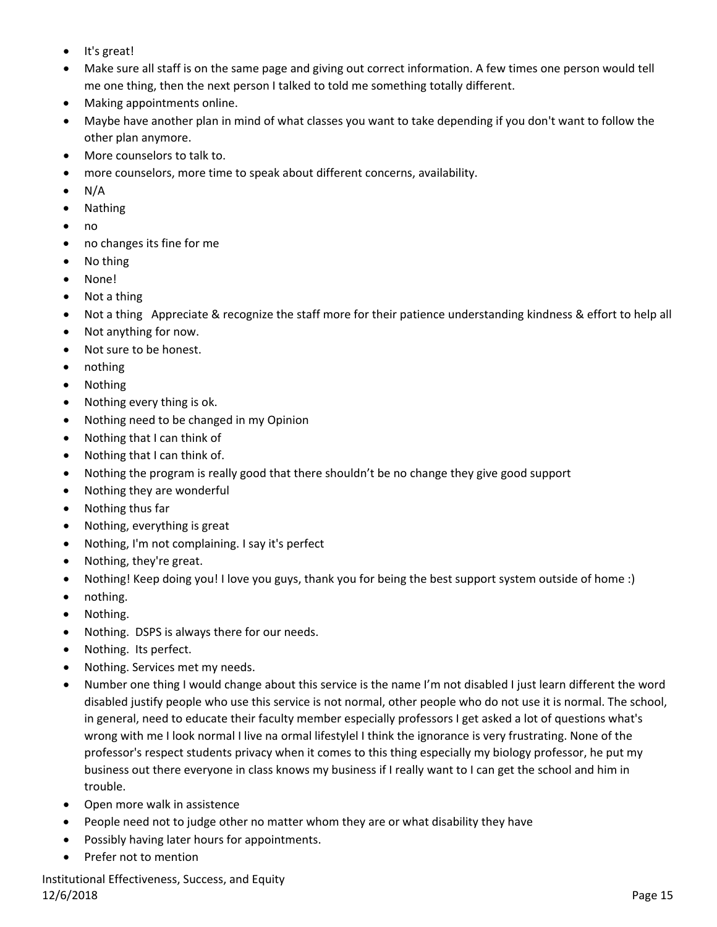- It's great!
- Make sure all staff is on the same page and giving out correct information. A few times one person would tell me one thing, then the next person I talked to told me something totally different.
- Making appointments online.
- Maybe have another plan in mind of what classes you want to take depending if you don't want to follow the other plan anymore.
- More counselors to talk to.
- more counselors, more time to speak about different concerns, availability.
- $\bullet$  N/A
- Nathing
- no
- no changes its fine for me
- No thing
- None!
- Not a thing
- Not a thing Appreciate & recognize the staff more for their patience understanding kindness & effort to help all
- Not anything for now.
- Not sure to be honest.
- nothing
- Nothing
- Nothing every thing is ok.
- Nothing need to be changed in my Opinion
- Nothing that I can think of
- Nothing that I can think of.
- Nothing the program is really good that there shouldn't be no change they give good support
- Nothing they are wonderful
- Nothing thus far
- Nothing, everything is great
- Nothing, I'm not complaining. I say it's perfect
- Nothing, they're great.
- Nothing! Keep doing you! I love you guys, thank you for being the best support system outside of home :)
- nothing.
- Nothing.
- Nothing. DSPS is always there for our needs.
- Nothing. Its perfect.
- Nothing. Services met my needs.
- Number one thing I would change about this service is the name I'm not disabled I just learn different the word disabled justify people who use this service is not normal, other people who do not use it is normal. The school, in general, need to educate their faculty member especially professors I get asked a lot of questions what's wrong with me I look normal I live na ormal lifestylel I think the ignorance is very frustrating. None of the professor's respect students privacy when it comes to this thing especially my biology professor, he put my business out there everyone in class knows my business if I really want to I can get the school and him in trouble.
- Open more walk in assistence
- People need not to judge other no matter whom they are or what disability they have
- Possibly having later hours for appointments.
- Prefer not to mention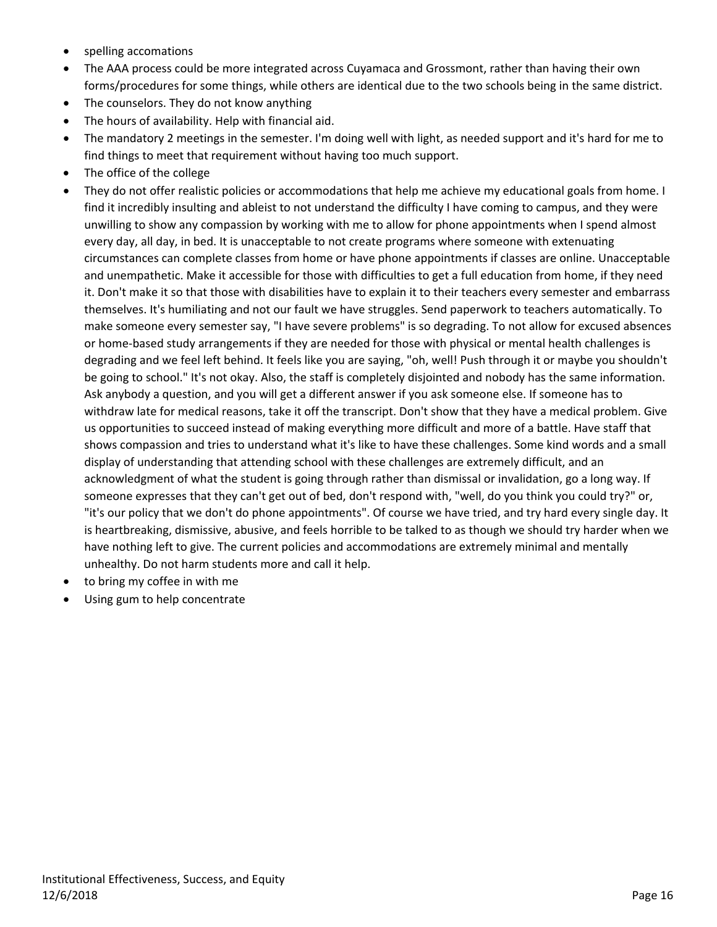- spelling accomations
- The AAA process could be more integrated across Cuyamaca and Grossmont, rather than having their own forms/procedures for some things, while others are identical due to the two schools being in the same district.
- The counselors. They do not know anything
- The hours of availability. Help with financial aid.
- The mandatory 2 meetings in the semester. I'm doing well with light, as needed support and it's hard for me to find things to meet that requirement without having too much support.
- The office of the college
- They do not offer realistic policies or accommodations that help me achieve my educational goals from home. I find it incredibly insulting and ableist to not understand the difficulty I have coming to campus, and they were unwilling to show any compassion by working with me to allow for phone appointments when I spend almost every day, all day, in bed. It is unacceptable to not create programs where someone with extenuating circumstances can complete classes from home or have phone appointments if classes are online. Unacceptable and unempathetic. Make it accessible for those with difficulties to get a full education from home, if they need it. Don't make it so that those with disabilities have to explain it to their teachers every semester and embarrass themselves. It's humiliating and not our fault we have struggles. Send paperwork to teachers automatically. To make someone every semester say, "I have severe problems" is so degrading. To not allow for excused absences or home‐based study arrangements if they are needed for those with physical or mental health challenges is degrading and we feel left behind. It feels like you are saying, "oh, well! Push through it or maybe you shouldn't be going to school." It's not okay. Also, the staff is completely disjointed and nobody has the same information. Ask anybody a question, and you will get a different answer if you ask someone else. If someone has to withdraw late for medical reasons, take it off the transcript. Don't show that they have a medical problem. Give us opportunities to succeed instead of making everything more difficult and more of a battle. Have staff that shows compassion and tries to understand what it's like to have these challenges. Some kind words and a small display of understanding that attending school with these challenges are extremely difficult, and an acknowledgment of what the student is going through rather than dismissal or invalidation, go a long way. If someone expresses that they can't get out of bed, don't respond with, "well, do you think you could try?" or, "it's our policy that we don't do phone appointments". Of course we have tried, and try hard every single day. It is heartbreaking, dismissive, abusive, and feels horrible to be talked to as though we should try harder when we have nothing left to give. The current policies and accommodations are extremely minimal and mentally unhealthy. Do not harm students more and call it help.
- to bring my coffee in with me
- Using gum to help concentrate